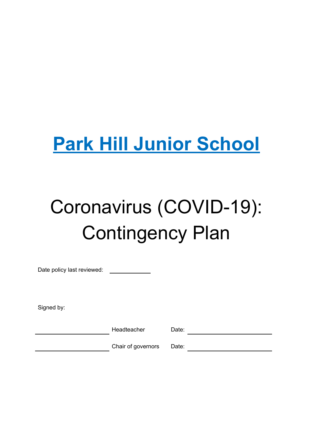# **Park Hill Junior School**

# Coronavirus (COVID-19): Contingency Plan

Date policy last reviewed:

Signed by:

Headteacher Date:

Chair of governors Date: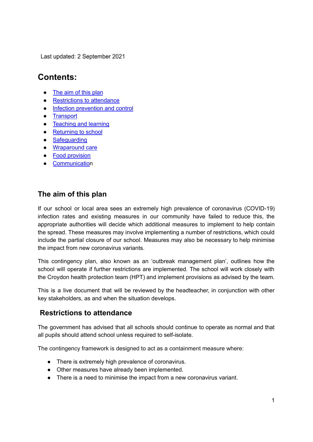Last updated: 2 September 2021

# **Contents:**

- The aim of this [plan](#page-1-0)
- **[Restrictions](#page-1-1) to attendance**
- Infection [prevention](#page-2-0) and control
- [Transport](#page-4-0)
- [Teaching](#page-5-0) and learning
- [Returning](#page-6-0) to school
- [Safeguarding](#page-7-0)
- [Wraparound](#page-7-1) care
- Food [provision](#page-8-0)
- [Communication](#page-8-1)

#### <span id="page-1-0"></span>**The aim of this plan**

If our school or local area sees an extremely high prevalence of coronavirus (COVID-19) infection rates and existing measures in our community have failed to reduce this, the appropriate authorities will decide which additional measures to implement to help contain the spread. These measures may involve implementing a number of restrictions, which could include the partial closure of our school. Measures may also be necessary to help minimise the impact from new coronavirus variants.

This contingency plan, also known as an 'outbreak management plan', outlines how the school will operate if further restrictions are implemented. The school will work closely with the Croydon health protection team (HPT) and implement provisions as advised by the team.

This is a live document that will be reviewed by the headteacher, in conjunction with other key stakeholders, as and when the situation develops.

#### <span id="page-1-1"></span>**Restrictions to attendance**

The government has advised that all schools should continue to operate as normal and that all pupils should attend school unless required to self-isolate.

The contingency framework is designed to act as a containment measure where:

- There is extremely high prevalence of coronavirus.
- Other measures have already been implemented.
- There is a need to minimise the impact from a new coronavirus variant.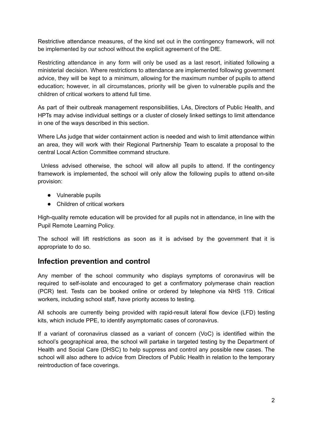Restrictive attendance measures, of the kind set out in the contingency framework, will not be implemented by our school without the explicit agreement of the DfE.

Restricting attendance in any form will only be used as a last resort, initiated following a ministerial decision. Where restrictions to attendance are implemented following government advice, they will be kept to a minimum, allowing for the maximum number of pupils to attend education; however, in all circumstances, priority will be given to vulnerable pupils and the children of critical workers to attend full time.

As part of their outbreak management responsibilities, LAs, Directors of Public Health, and HPTs may advise individual settings or a cluster of closely linked settings to limit attendance in one of the ways described in this section.

Where LAs judge that wider containment action is needed and wish to limit attendance within an area, they will work with their Regional Partnership Team to escalate a proposal to the central Local Action Committee command structure.

Unless advised otherwise, the school will allow all pupils to attend. If the contingency framework is implemented, the school will only allow the following pupils to attend on-site provision:

- Vulnerable pupils
- Children of critical workers

High-quality remote education will be provided for all pupils not in attendance, in line with the Pupil Remote Learning Policy.

The school will lift restrictions as soon as it is advised by the government that it is appropriate to do so.

#### <span id="page-2-0"></span>**Infection prevention and control**

Any member of the school community who displays symptoms of coronavirus will be required to self-isolate and encouraged to get a confirmatory polymerase chain reaction (PCR) test. Tests can be booked online or ordered by telephone via NHS 119. Critical workers, including school staff, have priority access to testing.

All schools are currently being provided with rapid-result lateral flow device (LFD) testing kits, which include PPE, to identify asymptomatic cases of coronavirus.

If a variant of coronavirus classed as a variant of concern (VoC) is identified within the school's geographical area, the school will partake in targeted testing by the Department of Health and Social Care (DHSC) to help suppress and control any possible new cases. The school will also adhere to advice from Directors of Public Health in relation to the temporary reintroduction of face coverings.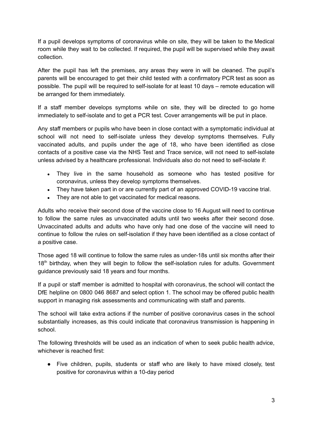If a pupil develops symptoms of coronavirus while on site, they will be taken to the Medical room while they wait to be collected. If required, the pupil will be supervised while they await collection.

After the pupil has left the premises, any areas they were in will be cleaned. The pupil's parents will be encouraged to get their child tested with a confirmatory PCR test as soon as possible. The pupil will be required to self-isolate for at least 10 days – remote education will be arranged for them immediately.

If a staff member develops symptoms while on site, they will be directed to go home immediately to self-isolate and to get a PCR test. Cover arrangements will be put in place.

Any staff members or pupils who have been in close contact with a symptomatic individual at school will not need to self-isolate unless they develop symptoms themselves. Fully vaccinated adults, and pupils under the age of 18, who have been identified as close contacts of a positive case via the NHS Test and Trace service, will not need to self-isolate unless advised by a healthcare professional. Individuals also do not need to self-isolate if:

- They live in the same household as someone who has tested positive for coronavirus, unless they develop symptoms themselves.
- They have taken part in or are currently part of an approved COVID-19 vaccine trial.
- They are not able to get vaccinated for medical reasons.

Adults who receive their second dose of the vaccine close to 16 August will need to continue to follow the same rules as unvaccinated adults until two weeks after their second dose. Unvaccinated adults and adults who have only had one dose of the vaccine will need to continue to follow the rules on self-isolation if they have been identified as a close contact of a positive case.

Those aged 18 will continue to follow the same rules as under-18s until six months after their 18<sup>th</sup> birthday, when they will begin to follow the self-isolation rules for adults. Government guidance previously said 18 years and four months.

If a pupil or staff member is admitted to hospital with coronavirus, the school will contact the DfE helpline on 0800 046 8687 and select option 1. The school may be offered public health support in managing risk assessments and communicating with staff and parents.

The school will take extra actions if the number of positive coronavirus cases in the school substantially increases, as this could indicate that coronavirus transmission is happening in school.

The following thresholds will be used as an indication of when to seek public health advice, whichever is reached first:

● Five children, pupils, students or staff who are likely to have mixed closely, test positive for coronavirus within a 10-day period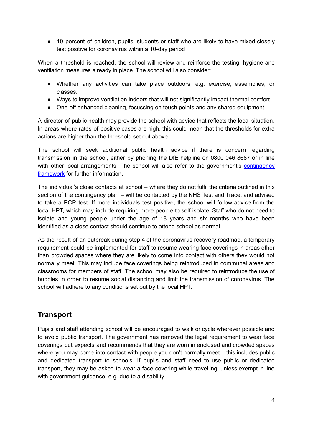• 10 percent of children, pupils, students or staff who are likely to have mixed closely test positive for coronavirus within a 10-day period

When a threshold is reached, the school will review and reinforce the testing, hygiene and ventilation measures already in place. The school will also consider:

- Whether any activities can take place outdoors, e.g. exercise, assemblies, or classes.
- Ways to improve ventilation indoors that will not significantly impact thermal comfort.
- One-off enhanced cleaning, focussing on touch points and any shared equipment.

A director of public health may provide the school with advice that reflects the local situation. In areas where rates of positive cases are high, this could mean that the thresholds for extra actions are higher than the threshold set out above.

The school will seek additional public health advice if there is concern regarding transmission in the school, either by phoning the DfE helpline on 0800 046 8687 or in line with other local arrangements. The school will also refer to the government's [contingency](https://www.gov.uk/government/publications/coronavirus-covid-19-local-restrictions-in-education-and-childcare-settings) [framework](https://www.gov.uk/government/publications/coronavirus-covid-19-local-restrictions-in-education-and-childcare-settings) for further information.

The individual's close contacts at school – where they do not fulfil the criteria outlined in this section of the contingency plan – will be contacted by the NHS Test and Trace, and advised to take a PCR test. If more individuals test positive, the school will follow advice from the local HPT, which may include requiring more people to self-isolate. Staff who do not need to isolate and young people under the age of 18 years and six months who have been identified as a close contact should continue to attend school as normal.

As the result of an outbreak during step 4 of the coronavirus recovery roadmap, a temporary requirement could be implemented for staff to resume wearing face coverings in areas other than crowded spaces where they are likely to come into contact with others they would not normally meet. This may include face coverings being reintroduced in communal areas and classrooms for members of staff. The school may also be required to reintroduce the use of bubbles in order to resume social distancing and limit the transmission of coronavirus. The school will adhere to any conditions set out by the local HPT.

#### <span id="page-4-0"></span>**Transport**

Pupils and staff attending school will be encouraged to walk or cycle wherever possible and to avoid public transport. The government has removed the legal requirement to wear face coverings but expects and recommends that they are worn in enclosed and crowded spaces where you may come into contact with people you don't normally meet – this includes public and dedicated transport to schools. If pupils and staff need to use public or dedicated transport, they may be asked to wear a face covering while travelling, unless exempt in line with government quidance, e.g. due to a disability.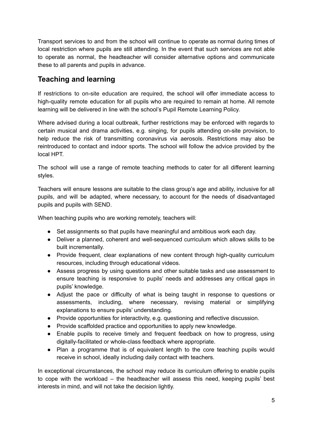Transport services to and from the school will continue to operate as normal during times of local restriction where pupils are still attending. In the event that such services are not able to operate as normal, the headteacher will consider alternative options and communicate these to all parents and pupils in advance.

## <span id="page-5-0"></span>**Teaching and learning**

If restrictions to on-site education are required, the school will offer immediate access to high-quality remote education for all pupils who are required to remain at home. All remote learning will be delivered in line with the school's Pupil Remote Learning Policy.

Where advised during a local outbreak, further restrictions may be enforced with regards to certain musical and drama activities, e.g. singing, for pupils attending on-site provision, to help reduce the risk of transmitting coronavirus via aerosols. Restrictions may also be reintroduced to contact and indoor sports. The school will follow the advice provided by the local HPT.

The school will use a range of remote teaching methods to cater for all different learning styles.

Teachers will ensure lessons are suitable to the class group's age and ability, inclusive for all pupils, and will be adapted, where necessary, to account for the needs of disadvantaged pupils and pupils with SEND.

When teaching pupils who are working remotely, teachers will:

- Set assignments so that pupils have meaningful and ambitious work each day.
- Deliver a planned, coherent and well-sequenced curriculum which allows skills to be built incrementally.
- Provide frequent, clear explanations of new content through high-quality curriculum resources, including through educational videos.
- Assess progress by using questions and other suitable tasks and use assessment to ensure teaching is responsive to pupils' needs and addresses any critical gaps in pupils' knowledge.
- Adjust the pace or difficulty of what is being taught in response to questions or assessments, including, where necessary, revising material or simplifying explanations to ensure pupils' understanding.
- Provide opportunities for interactivity, e.g. questioning and reflective discussion.
- Provide scaffolded practice and opportunities to apply new knowledge.
- Enable pupils to receive timely and frequent feedback on how to progress, using digitally-facilitated or whole-class feedback where appropriate.
- Plan a programme that is of equivalent length to the core teaching pupils would receive in school, ideally including daily contact with teachers.

In exceptional circumstances, the school may reduce its curriculum offering to enable pupils to cope with the workload – the headteacher will assess this need, keeping pupils' best interests in mind, and will not take the decision lightly.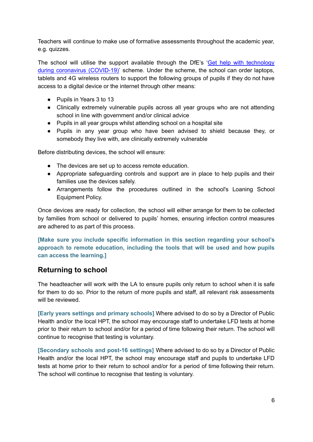Teachers will continue to make use of formative assessments throughout the academic year, e.g. quizzes.

The school will utilise the support available through the DfE's 'Get help with [technology](https://www.gov.uk/guidance/get-help-with-technology-for-remote-education-during-coronavirus-covid-19) during coronavirus [\(COVID-19\)'](https://www.gov.uk/guidance/get-help-with-technology-for-remote-education-during-coronavirus-covid-19) scheme. Under the scheme, the school can order laptops, tablets and 4G wireless routers to support the following groups of pupils if they do not have access to a digital device or the internet through other means:

- Pupils in Years 3 to 13
- Clinically extremely vulnerable pupils across all year groups who are not attending school in line with government and/or clinical advice
- Pupils in all year groups whilst attending school on a hospital site
- Pupils in any year group who have been advised to shield because they, or somebody they live with, are clinically extremely vulnerable

Before distributing devices, the school will ensure:

- The devices are set up to access remote education.
- Appropriate safeguarding controls and support are in place to help pupils and their families use the devices safely.
- Arrangements follow the procedures outlined in the school's Loaning School Equipment Policy.

Once devices are ready for collection, the school will either arrange for them to be collected by families from school or delivered to pupils' homes, ensuring infection control measures are adhered to as part of this process.

**[Make sure you include specific information in this section regarding your school's approach to remote education, including the tools that will be used and how pupils can access the learning.]**

#### <span id="page-6-0"></span>**Returning to school**

The headteacher will work with the LA to ensure pupils only return to school when it is safe for them to do so. Prior to the return of more pupils and staff, all relevant risk assessments will be reviewed.

**[Early years settings and primary schools]** Where advised to do so by a Director of Public Health and/or the local HPT, the school may encourage staff to undertake LFD tests at home prior to their return to school and/or for a period of time following their return. The school will continue to recognise that testing is voluntary.

**[Secondary schools and post-16 settings]** Where advised to do so by a Director of Public Health and/or the local HPT, the school may encourage staff and pupils to undertake LFD tests at home prior to their return to school and/or for a period of time following their return. The school will continue to recognise that testing is voluntary.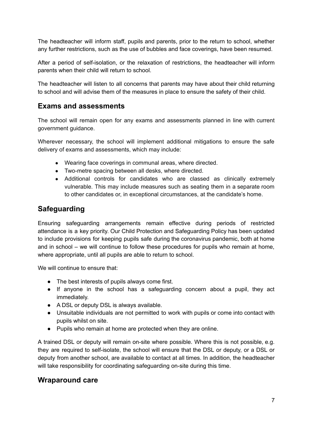The headteacher will inform staff, pupils and parents, prior to the return to school, whether any further restrictions, such as the use of bubbles and face coverings, have been resumed.

After a period of self-isolation, or the relaxation of restrictions, the headteacher will inform parents when their child will return to school.

The headteacher will listen to all concerns that parents may have about their child returning to school and will advise them of the measures in place to ensure the safety of their child.

#### **Exams and assessments**

The school will remain open for any exams and assessments planned in line with current government guidance.

Wherever necessary, the school will implement additional mitigations to ensure the safe delivery of exams and assessments, which may include:

- Wearing face coverings in communal areas, where directed.
- Two-metre spacing between all desks, where directed.
- Additional controls for candidates who are classed as clinically extremely vulnerable. This may include measures such as seating them in a separate room to other candidates or, in exceptional circumstances, at the candidate's home.

#### <span id="page-7-0"></span>**Safeguarding**

Ensuring safeguarding arrangements remain effective during periods of restricted attendance is a key priority. Our Child Protection and Safeguarding Policy has been updated to include provisions for keeping pupils safe during the coronavirus pandemic, both at home and in school – we will continue to follow these procedures for pupils who remain at home, where appropriate, until all pupils are able to return to school.

We will continue to ensure that:

- The best interests of pupils always come first.
- If anyone in the school has a safeguarding concern about a pupil, they act immediately.
- A DSL or deputy DSL is always available.
- Unsuitable individuals are not permitted to work with pupils or come into contact with pupils whilst on site.
- Pupils who remain at home are protected when they are online.

A trained DSL or deputy will remain on-site where possible. Where this is not possible, e.g. they are required to self-isolate, the school will ensure that the DSL or deputy, or a DSL or deputy from another school, are available to contact at all times. In addition, the headteacher will take responsibility for coordinating safeguarding on-site during this time.

#### <span id="page-7-1"></span>**Wraparound care**